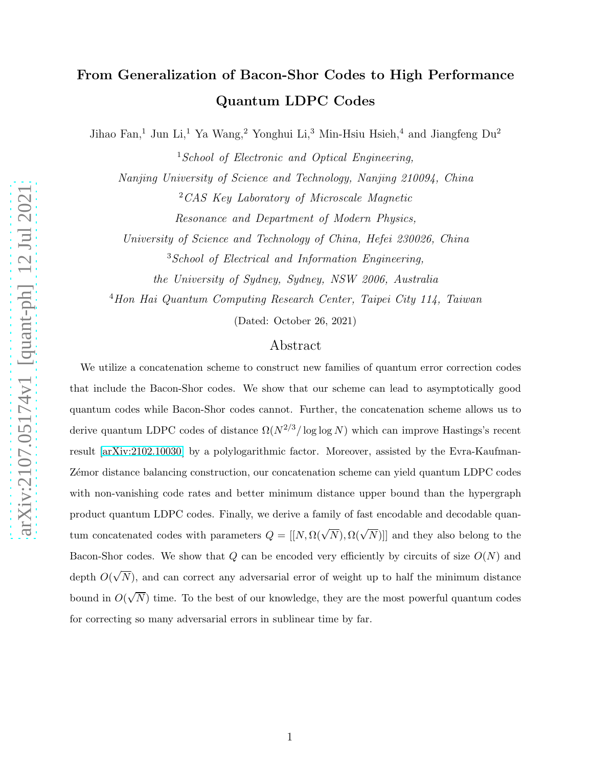# From Generalization of Bacon-Shor Codes to High Performance Quantum LDPC Codes

Jihao Fan,<sup>1</sup> Jun Li,<sup>1</sup> Ya Wang,<sup>2</sup> Yonghui Li,<sup>3</sup> Min-Hsiu Hsieh,<sup>4</sup> and Jiangfeng Du<sup>2</sup>

<sup>1</sup>School of Electronic and Optical Engineering,

Nanjing University of Science and Technology, Nanjing 210094, China <sup>2</sup>CAS Key Laboratory of Microscale Magnetic

Resonance and Department of Modern Physics,

University of Science and Technology of China, Hefei 230026, China

<sup>3</sup>School of Electrical and Information Engineering,

the University of Sydney, Sydney, NSW 2006, Australia

<sup>4</sup>Hon Hai Quantum Computing Research Center, Taipei City 114, Taiwan

(Dated: October 26, 2021)

## Abstract

We utilize a concatenation scheme to construct new families of quantum error correction codes that include the Bacon-Shor codes. We show that our scheme can lead to asymptotically good quantum codes while Bacon-Shor codes cannot. Further, the concatenation scheme allows us to derive quantum LDPC codes of distance  $\Omega(N^{2/3}/\log \log N)$  which can improve Hastings's recent result [\[arXiv:2102.10030\]](https://arxiv.org/abs/2102.10030) by a polylogarithmic factor. Moreover, assisted by the Evra-Kaufman-Z´emor distance balancing construction, our concatenation scheme can yield quantum LDPC codes with non-vanishing code rates and better minimum distance upper bound than the hypergraph product quantum LDPC codes. Finally, we derive a family of fast encodable and decodable quantum concatenated codes with parameters  $Q = [[N, \Omega(\sqrt{N}), \Omega(\sqrt{N})]]$  and they also belong to the Bacon-Shor codes. We show that  $Q$  can be encoded very efficiently by circuits of size  $O(N)$  and depth  $O(\sqrt{N})$ , and can correct any adversarial error of weight up to half the minimum distance bound in  $O(\sqrt{N})$  time. To the best of our knowledge, they are the most powerful quantum codes for correcting so many adversarial errors in sublinear time by far.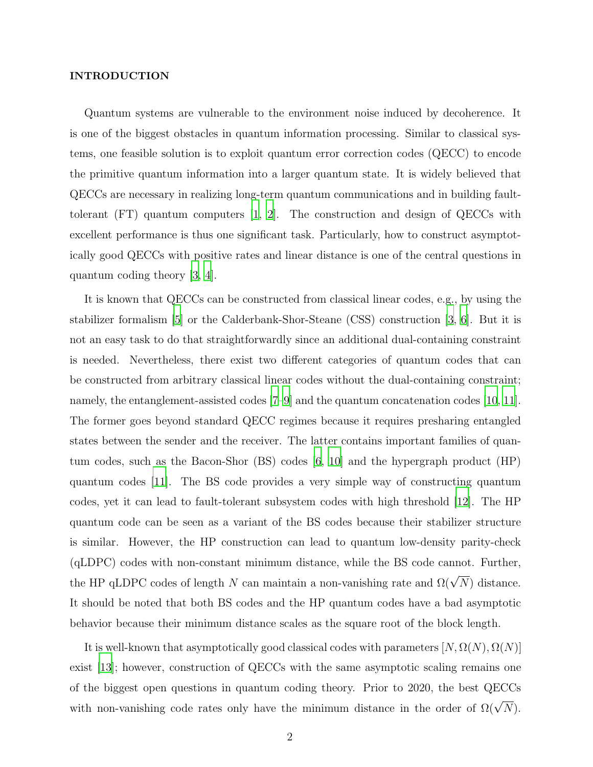#### INTRODUCTION

Quantum systems are vulnerable to the environment noise induced by decoherence. It is one of the biggest obstacles in quantum information processing. Similar to classical systems, one feasible solution is to exploit quantum error correction codes (QECC) to encode the primitive quantum information into a larger quantum state. It is widely believed that QECCs are necessary in realizing long-term quantum communications and in building faulttolerant (FT) quantum computers [\[1](#page-20-0), [2](#page-20-1)]. The construction and design of QECCs with excellent performance is thus one significant task. Particularly, how to construct asymptotically good QECCs with positive rates and linear distance is one of the central questions in quantum coding theory [\[3,](#page-20-2) [4\]](#page-20-3).

It is known that QECCs can be constructed from classical linear codes, e.g., by using the stabilizer formalism [\[5](#page-20-4)] or the Calderbank-Shor-Steane (CSS) construction [\[3,](#page-20-2) [6\]](#page-20-5). But it is not an easy task to do that straightforwardly since an additional dual-containing constraint is needed. Nevertheless, there exist two different categories of quantum codes that can be constructed from arbitrary classical linear codes without the dual-containing constraint; namely, the entanglement-assisted codes [\[7](#page-20-6)[–9](#page-20-7)] and the quantum concatenation codes [\[10,](#page-20-8) [11\]](#page-20-9). The former goes beyond standard QECC regimes because it requires presharing entangled states between the sender and the receiver. The latter contains important families of quantum codes, such as the Bacon-Shor (BS) codes [\[6,](#page-20-5) [10\]](#page-20-8) and the hypergraph product (HP) quantum codes [\[11\]](#page-20-9). The BS code provides a very simple way of constructing quantum codes, yet it can lead to fault-tolerant subsystem codes with high threshold [\[12\]](#page-20-10). The HP quantum code can be seen as a variant of the BS codes because their stabilizer structure is similar. However, the HP construction can lead to quantum low-density parity-check (qLDPC) codes with non-constant minimum distance, while the BS code cannot. Further, the HP qLDPC codes of length N can maintain a non-vanishing rate and  $\Omega(\sqrt{N})$  distance. It should be noted that both BS codes and the HP quantum codes have a bad asymptotic behavior because their minimum distance scales as the square root of the block length.

It is well-known that asymptotically good classical codes with parameters  $[N, \Omega(N), \Omega(N)]$ exist [\[13](#page-20-11)]; however, construction of QECCs with the same asymptotic scaling remains one of the biggest open questions in quantum coding theory. Prior to 2020, the best QECCs with non-vanishing code rates only have the minimum distance in the order of  $\Omega(\sqrt{N})$ .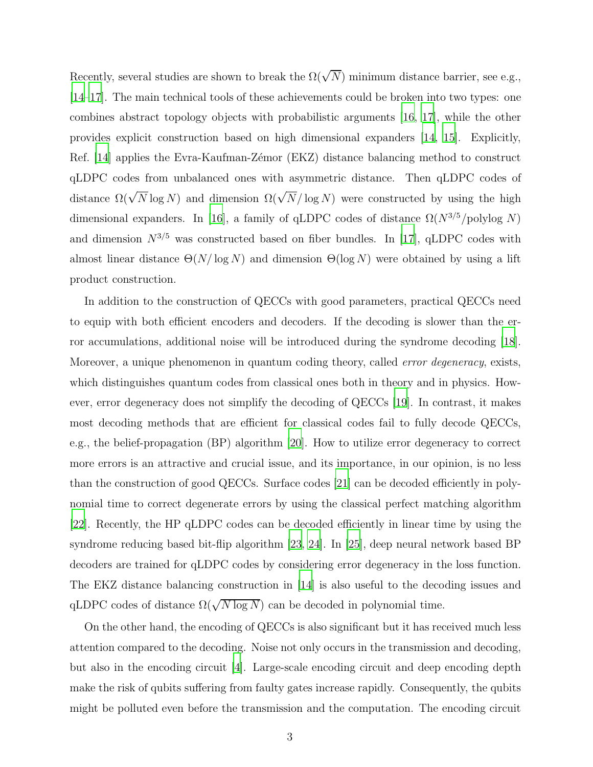Recently, several studies are shown to break the  $\Omega(\sqrt{N})$  minimum distance barrier, see e.g., [\[14](#page-20-12)[–17\]](#page-20-13). The main technical tools of these achievements could be broken into two types: one combines abstract topology objects with probabilistic arguments [\[16,](#page-20-14) [17\]](#page-20-13), while the other provides explicit construction based on high dimensional expanders [\[14](#page-20-12), [15\]](#page-20-15). Explicitly, Ref. [\[14\]](#page-20-12) applies the Evra-Kaufman-Zémor (EKZ) distance balancing method to construct qLDPC codes from unbalanced ones with asymmetric distance. Then qLDPC codes of distance  $\Omega(\sqrt{N}\log N)$  and dimension  $\Omega(\sqrt{N}/\log N)$  were constructed by using the high dimensional expanders. In [\[16\]](#page-20-14), a family of qLDPC codes of distance  $\Omega(N^{3/5}/polylog N)$ and dimension  $N^{3/5}$  was constructed based on fiber bundles. In [\[17\]](#page-20-13), qLDPC codes with almost linear distance  $\Theta(N/\log N)$  and dimension  $\Theta(\log N)$  were obtained by using a lift product construction.

In addition to the construction of QECCs with good parameters, practical QECCs need to equip with both efficient encoders and decoders. If the decoding is slower than the error accumulations, additional noise will be introduced during the syndrome decoding [\[18\]](#page-20-16). Moreover, a unique phenomenon in quantum coding theory, called *error degeneracy*, exists, which distinguishes quantum codes from classical ones both in theory and in physics. However, error degeneracy does not simplify the decoding of QECCs [\[19](#page-20-17)]. In contrast, it makes most decoding methods that are efficient for classical codes fail to fully decode QECCs, e.g., the belief-propagation (BP) algorithm [\[20](#page-20-18)]. How to utilize error degeneracy to correct more errors is an attractive and crucial issue, and its importance, in our opinion, is no less than the construction of good QECCs. Surface codes [\[21](#page-20-19)] can be decoded efficiently in polynomial time to correct degenerate errors by using the classical perfect matching algorithm [\[22](#page-20-20)]. Recently, the HP qLDPC codes can be decoded efficiently in linear time by using the syndrome reducing based bit-flip algorithm [\[23,](#page-20-21) [24](#page-20-22)]. In [\[25\]](#page-20-23), deep neural network based BP decoders are trained for qLDPC codes by considering error degeneracy in the loss function. The EKZ distance balancing construction in [\[14\]](#page-20-12) is also useful to the decoding issues and qLDPC codes of distance  $\Omega(\sqrt{N \log N})$  can be decoded in polynomial time.

On the other hand, the encoding of QECCs is also significant but it has received much less attention compared to the decoding. Noise not only occurs in the transmission and decoding, but also in the encoding circuit [\[4\]](#page-20-3). Large-scale encoding circuit and deep encoding depth make the risk of qubits suffering from faulty gates increase rapidly. Consequently, the qubits might be polluted even before the transmission and the computation. The encoding circuit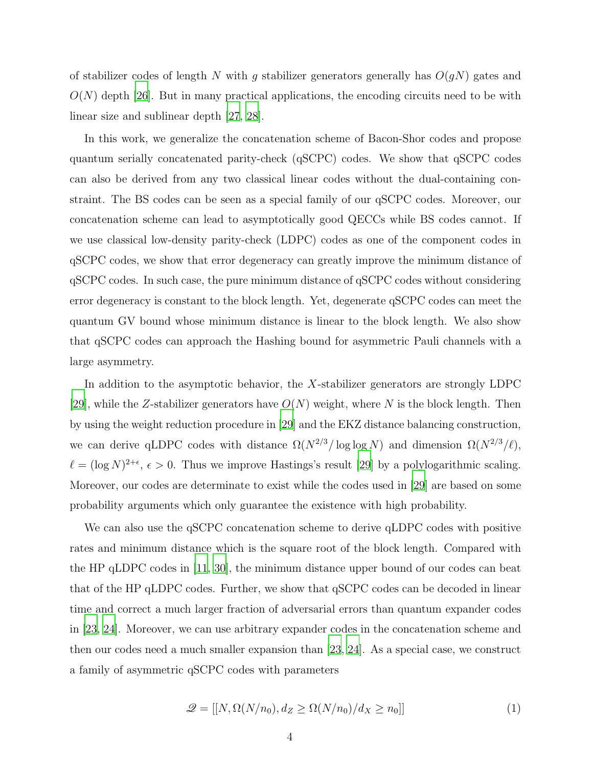of stabilizer codes of length N with q stabilizer generators generally has  $O(qN)$  gates and  $O(N)$  depth [\[26\]](#page-21-0). But in many practical applications, the encoding circuits need to be with linear size and sublinear depth [\[27,](#page-21-1) [28\]](#page-21-2).

In this work, we generalize the concatenation scheme of Bacon-Shor codes and propose quantum serially concatenated parity-check (qSCPC) codes. We show that qSCPC codes can also be derived from any two classical linear codes without the dual-containing constraint. The BS codes can be seen as a special family of our qSCPC codes. Moreover, our concatenation scheme can lead to asymptotically good QECCs while BS codes cannot. If we use classical low-density parity-check (LDPC) codes as one of the component codes in qSCPC codes, we show that error degeneracy can greatly improve the minimum distance of qSCPC codes. In such case, the pure minimum distance of qSCPC codes without considering error degeneracy is constant to the block length. Yet, degenerate qSCPC codes can meet the quantum GV bound whose minimum distance is linear to the block length. We also show that qSCPC codes can approach the Hashing bound for asymmetric Pauli channels with a large asymmetry.

In addition to the asymptotic behavior, the X-stabilizer generators are strongly LDPC [\[29\]](#page-21-3), while the Z-stabilizer generators have  $O(N)$  weight, where N is the block length. Then by using the weight reduction procedure in [\[29\]](#page-21-3) and the EKZ distance balancing construction, we can derive qLDPC codes with distance  $\Omega(N^{2/3}/\log \log N)$  and dimension  $\Omega(N^{2/3}/\ell)$ ,  $\ell = (\log N)^{2+\epsilon}, \epsilon > 0$ . Thus we improve Hastings's result [\[29\]](#page-21-3) by a polylogarithmic scaling. Moreover, our codes are determinate to exist while the codes used in [\[29\]](#page-21-3) are based on some probability arguments which only guarantee the existence with high probability.

We can also use the qSCPC concatenation scheme to derive qLDPC codes with positive rates and minimum distance which is the square root of the block length. Compared with the HP qLDPC codes in [\[11,](#page-20-9) [30](#page-21-4)], the minimum distance upper bound of our codes can beat that of the HP qLDPC codes. Further, we show that qSCPC codes can be decoded in linear time and correct a much larger fraction of adversarial errors than quantum expander codes in [\[23](#page-20-21), [24\]](#page-20-22). Moreover, we can use arbitrary expander codes in the concatenation scheme and then our codes need a much smaller expansion than [\[23](#page-20-21), [24\]](#page-20-22). As a special case, we construct a family of asymmetric qSCPC codes with parameters

$$
\mathcal{Q} = [[N, \Omega(N/n_0), d_Z \ge \Omega(N/n_0)/d_X \ge n_0]] \tag{1}
$$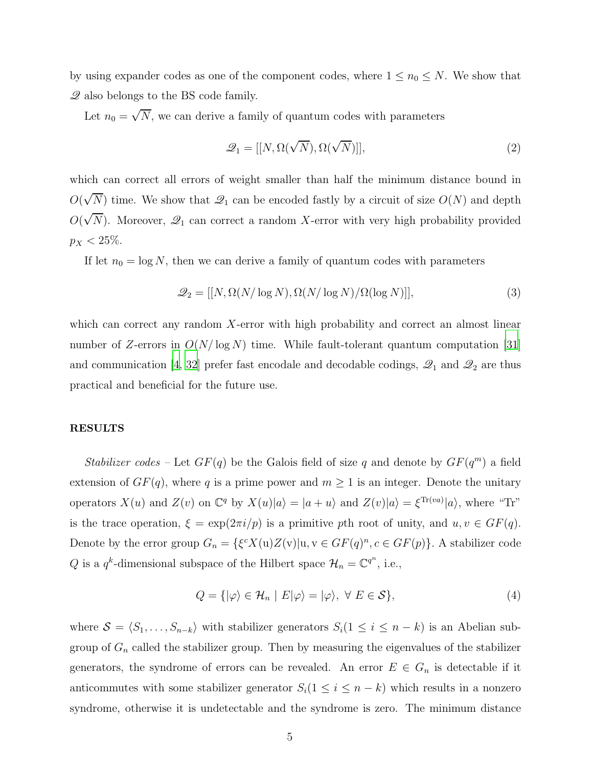by using expander codes as one of the component codes, where  $1 \le n_0 \le N$ . We show that Q also belongs to the BS code family.

Let  $n_0 = \sqrt{N}$ , we can derive a family of quantum codes with parameters

$$
\mathcal{Q}_1 = [[N, \Omega(\sqrt{N}), \Omega(\sqrt{N})]], \qquad (2)
$$

which can correct all errors of weight smaller than half the minimum distance bound in  $O(\sqrt{N})$  time. We show that  $\mathcal{Q}_1$  can be encoded fastly by a circuit of size  $O(N)$  and depth  $O(\sqrt{N})$ . Moreover,  $\mathcal{Q}_1$  can correct a random X-error with very high probability provided  $p_X < 25\%.$ 

If let  $n_0 = \log N$ , then we can derive a family of quantum codes with parameters

$$
\mathcal{Q}_2 = [[N, \Omega(N/\log N), \Omega(N/\log N)/\Omega(\log N)]],\tag{3}
$$

which can correct any random X-error with high probability and correct an almost linear number of Z-errors in  $O(N/\log N)$  time. While fault-tolerant quantum computation [\[31\]](#page-21-5) and communication [\[4](#page-20-3), [32\]](#page-21-6) prefer fast encodale and decodable codings,  $\mathcal{Q}_1$  and  $\mathcal{Q}_2$  are thus practical and beneficial for the future use.

### RESULTS

Stabilizer codes – Let  $GF(q)$  be the Galois field of size q and denote by  $GF(q^m)$  a field extension of  $GF(q)$ , where q is a prime power and  $m \geq 1$  is an integer. Denote the unitary operators  $X(u)$  and  $Z(v)$  on  $\mathbb{C}^q$  by  $X(u)|a\rangle = |a + u\rangle$  and  $Z(v)|a\rangle = \xi^{\text{Tr}(va)}|a\rangle$ , where "Tr" is the trace operation,  $\xi = \exp(2\pi i/p)$  is a primitive pth root of unity, and  $u, v \in GF(q)$ . Denote by the error group  $G_n = \{ \xi^c X(u) Z(v) | u, v \in GF(q)^n, c \in GF(p) \}$ . A stabilizer code Q is a  $q^k$ -dimensional subspace of the Hilbert space  $\mathcal{H}_n = \mathbb{C}^{q^n}$ , i.e.,

$$
Q = \{ |\varphi\rangle \in \mathcal{H}_n \mid E|\varphi\rangle = |\varphi\rangle, \ \forall \ E \in \mathcal{S} \},\tag{4}
$$

where  $S = \langle S_1, \ldots, S_{n-k} \rangle$  with stabilizer generators  $S_i(1 \leq i \leq n-k)$  is an Abelian subgroup of  $G_n$  called the stabilizer group. Then by measuring the eigenvalues of the stabilizer generators, the syndrome of errors can be revealed. An error  $E \in G_n$  is detectable if it anticommutes with some stabilizer generator  $S_i(1 \leq i \leq n-k)$  which results in a nonzero syndrome, otherwise it is undetectable and the syndrome is zero. The minimum distance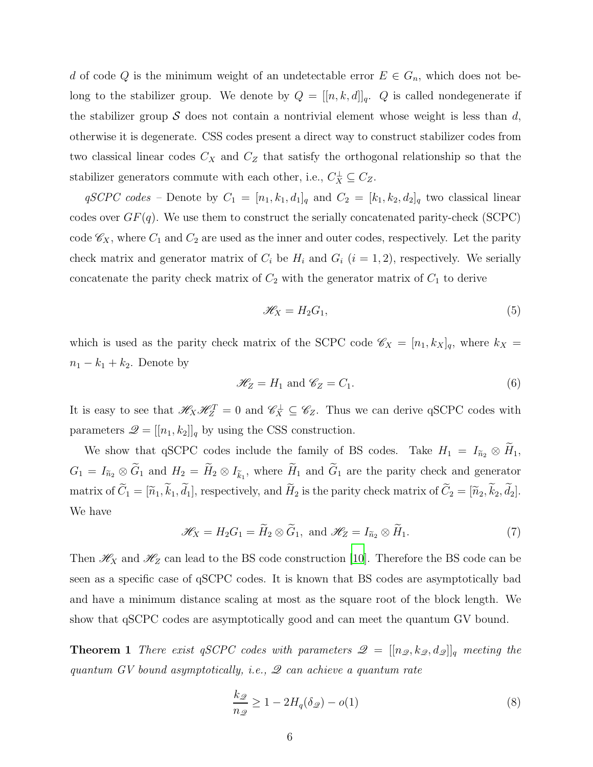d of code Q is the minimum weight of an undetectable error  $E \in G_n$ , which does not belong to the stabilizer group. We denote by  $Q = [[n, k, d]]_q$ . Q is called nondegenerate if the stabilizer group  $S$  does not contain a nontrivial element whose weight is less than d, otherwise it is degenerate. CSS codes present a direct way to construct stabilizer codes from two classical linear codes  $C_X$  and  $C_Z$  that satisfy the orthogonal relationship so that the stabilizer generators commute with each other, i.e.,  $C_X^{\perp} \subseteq C_Z$ .

 $qSCPC \ codes$  – Denote by  $C_1 = [n_1, k_1, d_1]_q$  and  $C_2 = [k_1, k_2, d_2]_q$  two classical linear codes over  $GF(q)$ . We use them to construct the serially concatenated parity-check (SCPC) code  $\mathscr{C}_X$ , where  $C_1$  and  $C_2$  are used as the inner and outer codes, respectively. Let the parity check matrix and generator matrix of  $C_i$  be  $H_i$  and  $G_i$   $(i = 1, 2)$ , respectively. We serially concatenate the parity check matrix of  $C_2$  with the generator matrix of  $C_1$  to derive

<span id="page-5-0"></span>
$$
\mathcal{H}_X = H_2 G_1,\tag{5}
$$

which is used as the parity check matrix of the SCPC code  $\mathscr{C}_X = [n_1, k_X]_q$ , where  $k_X =$  $n_1 - k_1 + k_2$ . Denote by

<span id="page-5-1"></span>
$$
\mathcal{H}_Z = H_1 \text{ and } \mathcal{C}_Z = C_1. \tag{6}
$$

It is easy to see that  $\mathcal{H}_X \mathcal{H}_Z^T = 0$  and  $\mathcal{C}_X^{\perp} \subseteq \mathcal{C}_Z$ . Thus we can derive qSCPC codes with parameters  $\mathcal{Q} = [[n_1, k_2]]_q$  by using the CSS construction.

We show that qSCPC codes include the family of BS codes. Take  $H_1 = I_{\tilde{n}_2} \otimes H_1$ ,  $G_1 = I_{\tilde{n}_2} \otimes G_1$  and  $H_2 = H_2 \otimes I_{\tilde{k}_1}$ , where  $H_1$  and  $G_1$  are the parity check and generator matrix of  $C_1 = [\tilde{n}_1, k_1, d_1]$ , respectively, and  $H_2$  is the parity check matrix of  $C_2 = [\tilde{n}_2, k_2, d_2]$ . We have

$$
\mathcal{H}_X = H_2 G_1 = \widetilde{H}_2 \otimes \widetilde{G}_1, \text{ and } \mathcal{H}_Z = I_{\widetilde{n}_2} \otimes \widetilde{H}_1.
$$
 (7)

Then  $\mathcal{H}_X$  and  $\mathcal{H}_Z$  can lead to the BS code construction [\[10\]](#page-20-8). Therefore the BS code can be seen as a specific case of qSCPC codes. It is known that BS codes are asymptotically bad and have a minimum distance scaling at most as the square root of the block length. We show that qSCPC codes are asymptotically good and can meet the quantum GV bound.

**Theorem 1** There exist qSCPC codes with parameters  $\mathcal{Q} = [[n_{\mathcal{Q}}, k_{\mathcal{Q}}, d_{\mathcal{Q}}]]_q$  meeting the quantum  $GV$  bound asymptotically, i.e.,  $\mathscr Q$  can achieve a quantum rate

<span id="page-5-2"></span>
$$
\frac{k_{\mathcal{D}}}{n_{\mathcal{D}}} \ge 1 - 2H_q(\delta_{\mathcal{D}}) - o(1) \tag{8}
$$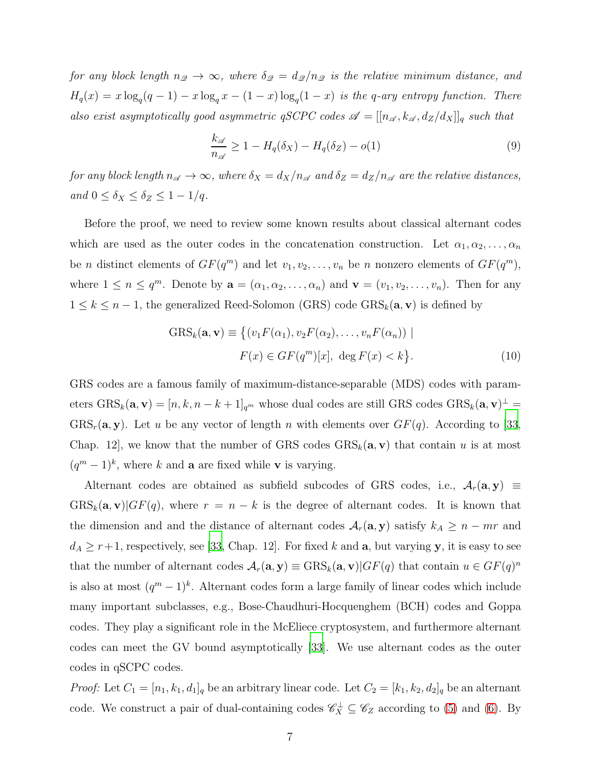for any block length  $n_{\mathscr{D}} \to \infty$ , where  $\delta_{\mathscr{D}} = d_{\mathscr{D}}/n_{\mathscr{D}}$  is the relative minimum distance, and  $H_q(x) = x \log_q(q-1) - x \log_q x - (1-x) \log_q(1-x)$  is the q-ary entropy function. There also exist asymptotically good asymmetric qSCPC codes  $\mathscr{A} = [[n_{\mathscr{A}}, k_{\mathscr{A}}, d_Z/d_X]]_q$  such that

$$
\frac{k_{\mathscr{A}}}{n_{\mathscr{A}}} \ge 1 - H_q(\delta_X) - H_q(\delta_Z) - o(1)
$$
\n(9)

for any block length  $n_{\mathscr{A}} \to \infty$ , where  $\delta_X = d_X/n_{\mathscr{A}}$  and  $\delta_Z = d_Z/n_{\mathscr{A}}$  are the relative distances, and  $0 \leq \delta_X \leq \delta_Z \leq 1-1/q$ .

Before the proof, we need to review some known results about classical alternant codes which are used as the outer codes in the concatenation construction. Let  $\alpha_1, \alpha_2, \ldots, \alpha_n$ be *n* distinct elements of  $GF(q^m)$  and let  $v_1, v_2, \ldots, v_n$  be *n* nonzero elements of  $GF(q^m)$ , where  $1 \leq n \leq q^m$ . Denote by  $\mathbf{a} = (\alpha_1, \alpha_2, \dots, \alpha_n)$  and  $\mathbf{v} = (v_1, v_2, \dots, v_n)$ . Then for any  $1 \leq k \leq n-1$ , the generalized Reed-Solomon (GRS) code  $GRS_k(\mathbf{a}, \mathbf{v})$  is defined by

$$
GRS_k(\mathbf{a}, \mathbf{v}) \equiv \left\{ (v_1 F(\alpha_1), v_2 F(\alpha_2), \dots, v_n F(\alpha_n)) \mid
$$
  

$$
F(x) \in GF(q^m)[x], \deg F(x) < k \right\}.
$$
 (10)

GRS codes are a famous family of maximum-distance-separable (MDS) codes with parameters  $\text{GRS}_k(\mathbf{a}, \mathbf{v}) = [n, k, n - k + 1]_{q^m}$  whose dual codes are still GRS codes  $\text{GRS}_k(\mathbf{a}, \mathbf{v})^{\perp} =$  $GRS_r(\mathbf{a}, \mathbf{y})$ . Let u be any vector of length n with elements over  $GF(q)$ . According to [\[33,](#page-21-7) Chap. 12, we know that the number of GRS codes  $GRS_k(a, v)$  that contain u is at most  $(q<sup>m</sup> - 1)<sup>k</sup>$ , where k and **a** are fixed while **v** is varying.

Alternant codes are obtained as subfield subcodes of GRS codes, i.e.,  $A_r(\mathbf{a}, \mathbf{y}) \equiv$  $GRS_k(a, v)|GF(q)$ , where  $r = n - k$  is the degree of alternant codes. It is known that the dimension and and the distance of alternant codes  $\mathcal{A}_r(\mathbf{a}, \mathbf{y})$  satisfy  $k_A \geq n - mr$  and  $d_A \geq r+1$ , respectively, see [\[33](#page-21-7), Chap. 12]. For fixed k and a, but varying y, it is easy to see that the number of alternant codes  $\mathcal{A}_r(\mathbf{a}, \mathbf{y}) \equiv \text{GRS}_k(\mathbf{a}, \mathbf{v}) | GF(q)$  that contain  $u \in GF(q)^n$ is also at most  $(q^m-1)^k$ . Alternant codes form a large family of linear codes which include many important subclasses, e.g., Bose-Chaudhuri-Hocquenghem (BCH) codes and Goppa codes. They play a significant role in the McEliece cryptosystem, and furthermore alternant codes can meet the GV bound asymptotically [\[33](#page-21-7)]. We use alternant codes as the outer codes in qSCPC codes.

*Proof:* Let  $C_1 = [n_1, k_1, d_1]_q$  be an arbitrary linear code. Let  $C_2 = [k_1, k_2, d_2]_q$  be an alternant code. We construct a pair of dual-containing codes  $\mathscr{C}_X^{\perp} \subseteq \mathscr{C}_Z$  according to [\(5\)](#page-5-0) and [\(6\)](#page-5-1). By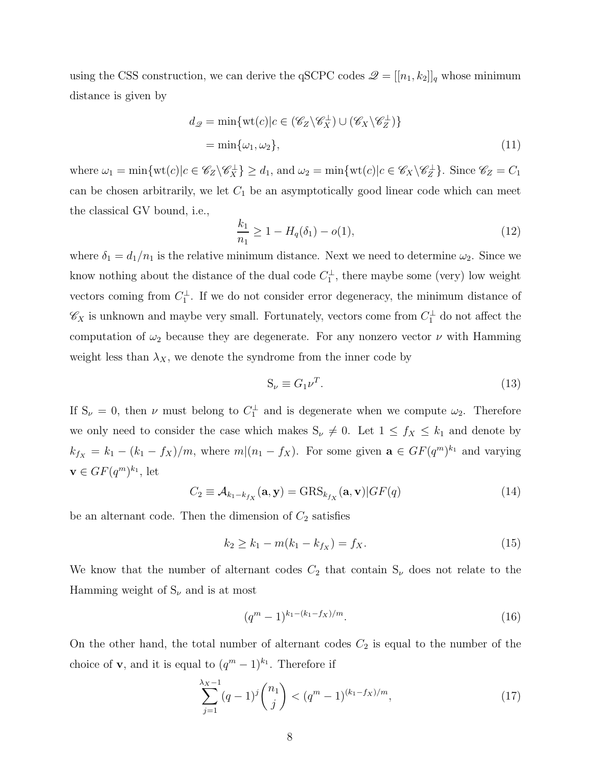using the CSS construction, we can derive the qSCPC codes  $\mathcal{Q} = [[n_1, k_2]]_q$  whose minimum distance is given by

<span id="page-7-1"></span>
$$
d_{\mathcal{Q}} = \min \{ \text{wt}(c) | c \in (\mathscr{C}_{Z} \backslash \mathscr{C}_{X}^{\perp}) \cup (\mathscr{C}_{X} \backslash \mathscr{C}_{Z}^{\perp}) \}
$$
  
= 
$$
\min \{ \omega_{1}, \omega_{2} \},
$$
 (11)

where  $\omega_1 = \min \{ \text{wt}(c) | c \in \mathscr{C}_Z \backslash \mathscr{C}_X^{\perp} \} \ge d_1$ , and  $\omega_2 = \min \{ \text{wt}(c) | c \in \mathscr{C}_X \backslash \mathscr{C}_Z^{\perp} \}$  $\mathcal{E}_Z^{\perp}$ . Since  $\mathcal{C}_Z = C_1$ can be chosen arbitrarily, we let  $C_1$  be an asymptotically good linear code which can meet the classical GV bound, i.e.,

<span id="page-7-2"></span>
$$
\frac{k_1}{n_1} \ge 1 - H_q(\delta_1) - o(1),\tag{12}
$$

where  $\delta_1 = d_1/n_1$  is the relative minimum distance. Next we need to determine  $\omega_2$ . Since we know nothing about the distance of the dual code  $C_1^{\perp}$  $\frac{1}{1}$ , there maybe some (very) low weight vectors coming from  $C_1^{\perp}$  $\frac{1}{1}$ . If we do not consider error degeneracy, the minimum distance of  $\mathscr{C}_X$  is unknown and maybe very small. Fortunately, vectors come from  $C_1^{\perp}$  do not affect the computation of  $\omega_2$  because they are degenerate. For any nonzero vector  $\nu$  with Hamming weight less than  $\lambda_X$ , we denote the syndrome from the inner code by

$$
S_{\nu} \equiv G_1 \nu^T. \tag{13}
$$

If  $S_{\nu} = 0$ , then  $\nu$  must belong to  $C_1^{\perp}$  and is degenerate when we compute  $\omega_2$ . Therefore we only need to consider the case which makes  $S_{\nu} \neq 0$ . Let  $1 \leq f_X \leq k_1$  and denote by  $k_{f_X} = k_1 - (k_1 - f_X)/m$ , where  $m|(n_1 - f_X)$ . For some given  $\mathbf{a} \in GF(q^m)^{k_1}$  and varying  $\mathbf{v} \in GF(q^m)^{k_1}$ , let

$$
C_2 \equiv \mathcal{A}_{k_1 - k_{f_X}}(\mathbf{a}, \mathbf{y}) = \text{GRS}_{k_{f_X}}(\mathbf{a}, \mathbf{v}) | GF(q)
$$
(14)

be an alternant code. Then the dimension of  $C_2$  satisfies

$$
k_2 \ge k_1 - m(k_1 - k_{f_X}) = f_X. \tag{15}
$$

We know that the number of alternant codes  $C_2$  that contain  $S_\nu$  does not relate to the Hamming weight of  $S_{\nu}$  and is at most

<span id="page-7-0"></span>
$$
(q^m - 1)^{k_1 - (k_1 - f_X)/m}.
$$
 (16)

On the other hand, the total number of alternant codes  $C_2$  is equal to the number of the choice of **v**, and it is equal to  $(q^m - 1)^{k_1}$ . Therefore if

$$
\sum_{j=1}^{\lambda_X - 1} (q - 1)^j \binom{n_1}{j} < (q^m - 1)^{(k_1 - f_X)/m},\tag{17}
$$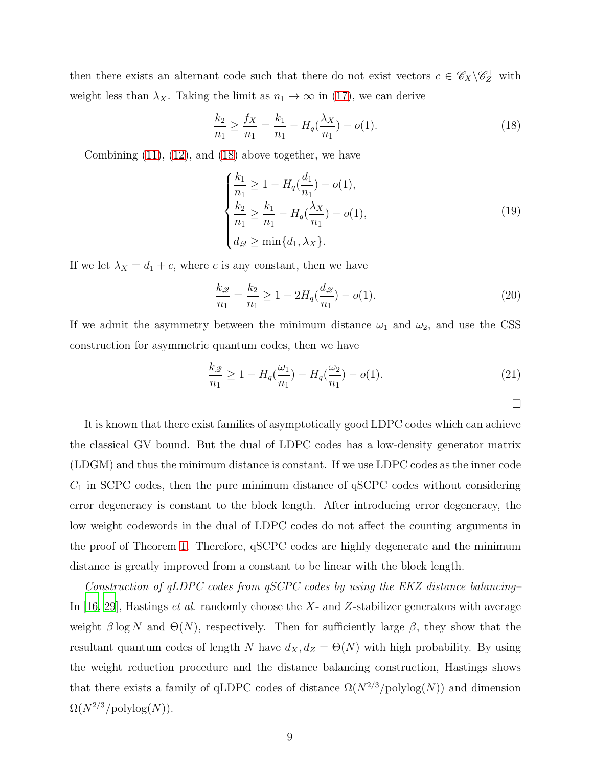then there exists an alternant code such that there do not exist vectors  $c \in \mathscr{C}_X \backslash \mathscr{C}_Z^{\perp}$  with weight less than  $\lambda_X$ . Taking the limit as  $n_1 \to \infty$  in [\(17\)](#page-7-0), we can derive

<span id="page-8-0"></span>
$$
\frac{k_2}{n_1} \ge \frac{f_X}{n_1} = \frac{k_1}{n_1} - H_q(\frac{\lambda_X}{n_1}) - o(1). \tag{18}
$$

Combining  $(11)$ ,  $(12)$ , and  $(18)$  above together, we have

$$
\begin{cases}\n\frac{k_1}{n_1} \ge 1 - H_q(\frac{d_1}{n_1}) - o(1), \\
\frac{k_2}{n_1} \ge \frac{k_1}{n_1} - H_q(\frac{\lambda_X}{n_1}) - o(1), \\
d_{\mathscr{Q}} \ge \min\{d_1, \lambda_X\}.\n\end{cases} (19)
$$

If we let  $\lambda_X = d_1 + c$ , where c is any constant, then we have

$$
\frac{k_{\mathcal{D}}}{n_1} = \frac{k_2}{n_1} \ge 1 - 2H_q(\frac{d_{\mathcal{D}}}{n_1}) - o(1). \tag{20}
$$

If we admit the asymmetry between the minimum distance  $\omega_1$  and  $\omega_2$ , and use the CSS construction for asymmetric quantum codes, then we have

$$
\frac{k_{\mathcal{Q}}}{n_1} \ge 1 - H_q(\frac{\omega_1}{n_1}) - H_q(\frac{\omega_2}{n_1}) - o(1). \tag{21}
$$

 $\Box$ 

It is known that there exist families of asymptotically good LDPC codes which can achieve the classical GV bound. But the dual of LDPC codes has a low-density generator matrix (LDGM) and thus the minimum distance is constant. If we use LDPC codes as the inner code  $C_1$  in SCPC codes, then the pure minimum distance of qSCPC codes without considering error degeneracy is constant to the block length. After introducing error degeneracy, the low weight codewords in the dual of LDPC codes do not affect the counting arguments in the proof of Theorem [1.](#page-5-2) Therefore, qSCPC codes are highly degenerate and the minimum distance is greatly improved from a constant to be linear with the block length.

Construction of qLDPC codes from qSCPC codes by using the EKZ distance balancing– In  $[16, 29]$  $[16, 29]$ , Hastings *et al.* randomly choose the X- and Z-stabilizer generators with average weight  $\beta \log N$  and  $\Theta(N)$ , respectively. Then for sufficiently large  $\beta$ , they show that the resultant quantum codes of length N have  $d_X, d_Z = \Theta(N)$  with high probability. By using the weight reduction procedure and the distance balancing construction, Hastings shows that there exists a family of qLDPC codes of distance  $\Omega(N^{2/3}/polylog(N))$  and dimension  $\Omega(N^{2/3}/\text{polylog}(N)).$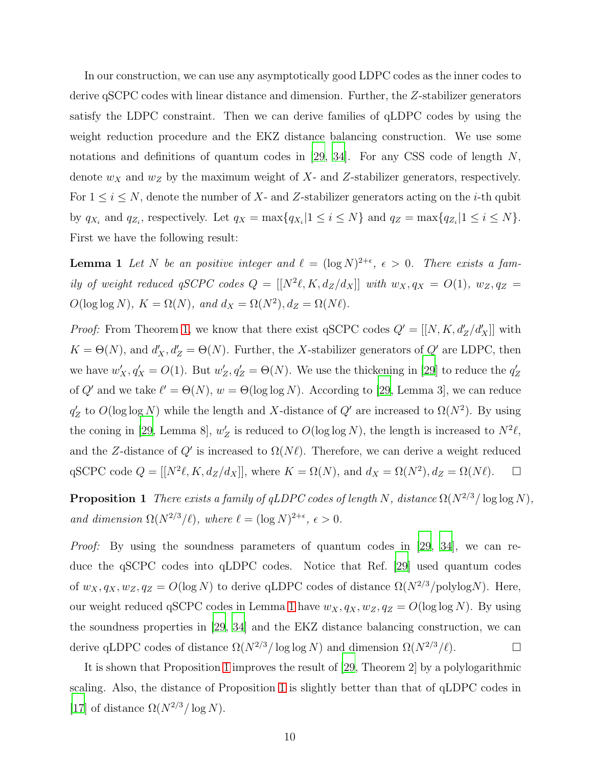In our construction, we can use any asymptotically good LDPC codes as the inner codes to derive qSCPC codes with linear distance and dimension. Further, the Z-stabilizer generators satisfy the LDPC constraint. Then we can derive families of qLDPC codes by using the weight reduction procedure and the EKZ distance balancing construction. We use some notations and definitions of quantum codes in [\[29,](#page-21-3) [34\]](#page-21-8). For any CSS code of length  $N$ , denote  $w_X$  and  $w_Z$  by the maximum weight of X- and Z-stabilizer generators, respectively. For  $1 \leq i \leq N$ , denote the number of X- and Z-stabilizer generators acting on the *i*-th qubit by  $q_{X_i}$  and  $q_{Z_i}$ , respectively. Let  $q_X = \max\{q_{X_i} | 1 \leq i \leq N\}$  and  $q_Z = \max\{q_{Z_i} | 1 \leq i \leq N\}$ . First we have the following result:

<span id="page-9-0"></span>**Lemma 1** Let N be an positive integer and  $\ell = (\log N)^{2+\epsilon}$ ,  $\epsilon > 0$ . There exists a family of weight reduced  $qSCPC$  codes  $Q = [[N^2\ell, K, d_Z/d_X]]$  with  $w_X, q_X = O(1)$ ,  $w_Z, q_Z =$  $O(\log \log N)$ ,  $K = \Omega(N)$ , and  $d_X = \Omega(N^2)$ ,  $d_Z = \Omega(N\ell)$ .

*Proof:* From Theorem [1,](#page-5-2) we know that there exist qSCPC codes  $Q' = [[N, K, d'_Z/d'_X]]$  with  $K = \Theta(N)$ , and  $d'_{X}, d'_{Z} = \Theta(N)$ . Further, the X-stabilizer generators of  $Q'$  are LDPC, then we have  $w'_X, q'_X = O(1)$ . But  $w'_Z$  $Z'_Z, q'_Z = \Theta(N)$ . We use the thickening in [\[29\]](#page-21-3) to reduce the  $q'_Z$ Z of Q' and we take  $\ell' = \Theta(N)$ ,  $w = \Theta(\log \log N)$ . According to [\[29](#page-21-3), Lemma 3], we can reduce  $q'_{2}$ '<sub>Z</sub> to  $O(\log \log N)$  while the length and X-distance of  $Q'$  are increased to  $\Omega(N^2)$ . By using the coning in [\[29,](#page-21-3) Lemma 8],  $w'_2$  $Z$  is reduced to  $O(\log \log N)$ , the length is increased to  $N^2 \ell$ , and the Z-distance of  $Q'$  is increased to  $\Omega(N\ell)$ . Therefore, we can derive a weight reduced qSCPC code  $Q = [[N^2 \ell, K, d_Z/d_X]],$  where  $K = \Omega(N)$ , and  $d_X = \Omega(N^2), d_Z = \Omega(N\ell)$ .  $\Box$ 

<span id="page-9-1"></span>**Proposition 1** There exists a family of qLDPC codes of length N, distance  $\Omega(N^{2/3}/\log \log N)$ , and dimension  $\Omega(N^{2/3}/\ell)$ , where  $\ell = (\log N)^{2+\epsilon}$ ,  $\epsilon > 0$ .

*Proof:* By using the soundness parameters of quantum codes in [\[29](#page-21-3), [34\]](#page-21-8), we can reduce the qSCPC codes into qLDPC codes. Notice that Ref. [\[29](#page-21-3)] used quantum codes of  $w_X, q_X, w_Z, q_Z = O(\log N)$  to derive qLDPC codes of distance  $\Omega(N^{2/3}/\text{polylog}N)$ . Here, our weight reduced qSCPC codes in Lemma [1](#page-9-0) have  $w_X, q_X, w_Z, q_Z = O(\log \log N)$ . By using the soundness properties in [\[29,](#page-21-3) [34](#page-21-8)] and the EKZ distance balancing construction, we can derive qLDPC codes of distance  $\Omega(N^{2/3}/\log \log N)$  and dimension  $\Omega(N^{2/3}/\ell)$ .

It is shown that Proposition [1](#page-9-1) improves the result of [\[29,](#page-21-3) Theorem 2] by a polylogarithmic scaling. Also, the distance of Proposition [1](#page-9-1) is slightly better than that of qLDPC codes in [\[17](#page-20-13)] of distance  $\Omega(N^{2/3}/\log N)$ .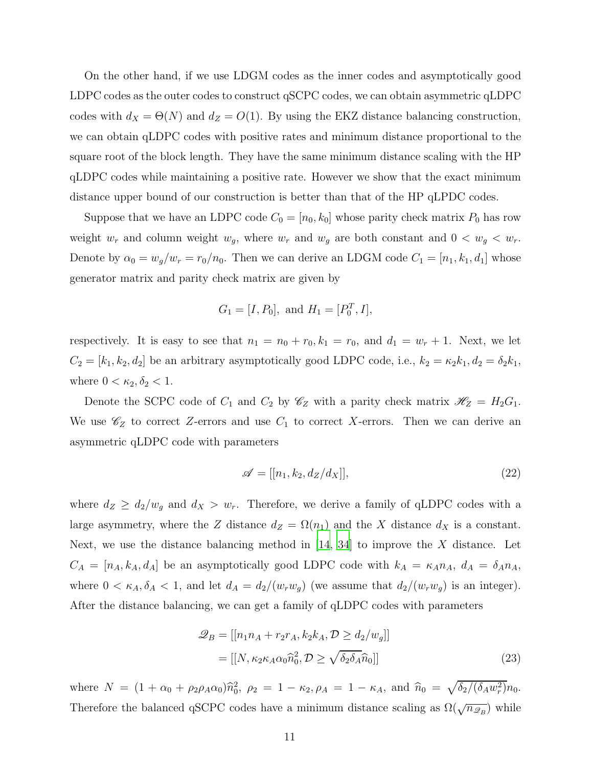On the other hand, if we use LDGM codes as the inner codes and asymptotically good LDPC codes as the outer codes to construct qSCPC codes, we can obtain asymmetric qLDPC codes with  $d_X = \Theta(N)$  and  $d_Z = O(1)$ . By using the EKZ distance balancing construction, we can obtain qLDPC codes with positive rates and minimum distance proportional to the square root of the block length. They have the same minimum distance scaling with the HP qLDPC codes while maintaining a positive rate. However we show that the exact minimum distance upper bound of our construction is better than that of the HP qLPDC codes.

Suppose that we have an LDPC code  $C_0 = [n_0, k_0]$  whose parity check matrix  $P_0$  has row weight  $w_r$  and column weight  $w_g$ , where  $w_r$  and  $w_g$  are both constant and  $0 < w_g < w_r$ . Denote by  $\alpha_0 = w_g/w_r = r_0/n_0$ . Then we can derive an LDGM code  $C_1 = [n_1, k_1, d_1]$  whose generator matrix and parity check matrix are given by

$$
G_1 = [I, P_0]
$$
, and  $H_1 = [P_0^T, I]$ ,

respectively. It is easy to see that  $n_1 = n_0 + r_0$ ,  $k_1 = r_0$ , and  $d_1 = w_r + 1$ . Next, we let  $C_2 = [k_1, k_2, d_2]$  be an arbitrary asymptotically good LDPC code, i.e.,  $k_2 = \kappa_2 k_1, d_2 = \delta_2 k_1$ , where  $0 < \kappa_2, \delta_2 < 1$ .

Denote the SCPC code of  $C_1$  and  $C_2$  by  $\mathscr{C}_Z$  with a parity check matrix  $\mathscr{H}_Z = H_2G_1$ . We use  $\mathscr{C}_Z$  to correct Z-errors and use  $C_1$  to correct X-errors. Then we can derive an asymmetric qLDPC code with parameters

<span id="page-10-1"></span>
$$
\mathscr{A} = [[n_1, k_2, d_Z/d_X]], \tag{22}
$$

where  $d_Z \geq d_2/w_g$  and  $d_X > w_r$ . Therefore, we derive a family of qLDPC codes with a large asymmetry, where the Z distance  $d_Z = \Omega(n_1)$  and the X distance  $d_X$  is a constant. Next, we use the distance balancing method in  $[14, 34]$  $[14, 34]$  to improve the X distance. Let  $C_A = [n_A, k_A, d_A]$  be an asymptotically good LDPC code with  $k_A = \kappa_A n_A$ ,  $d_A = \delta_A n_A$ , where  $0 < \kappa_A, \delta_A < 1$ , and let  $d_A = d_2/(w_r w_g)$  (we assume that  $d_2/(w_r w_g)$  is an integer). After the distance balancing, we can get a family of qLDPC codes with parameters

<span id="page-10-0"></span>
$$
\mathcal{Q}_B = [[n_1 n_A + r_2 r_A, k_2 k_A, \mathcal{D} \ge d_2/w_g]]
$$
  
= [[N, \kappa\_2 \kappa\_A \alpha\_0 \hat{n}\_0^2, \mathcal{D} \ge \sqrt{\delta\_2 \delta\_A} \hat{n}\_0]] (23)

where  $N = (1 + \alpha_0 + \rho_2 \rho_A \alpha_0) \hat{n}_0^2$ ,  $\rho_2 = 1 - \kappa_2$ ,  $\rho_A = 1 - \kappa_A$ , and  $\hat{n}_0 = \sqrt{\delta_2/(\delta_A w_r^2)} n_0$ . Therefore the balanced qSCPC codes have a minimum distance scaling as  $\Omega(\sqrt{n_{\mathscr{D}_B}})$  while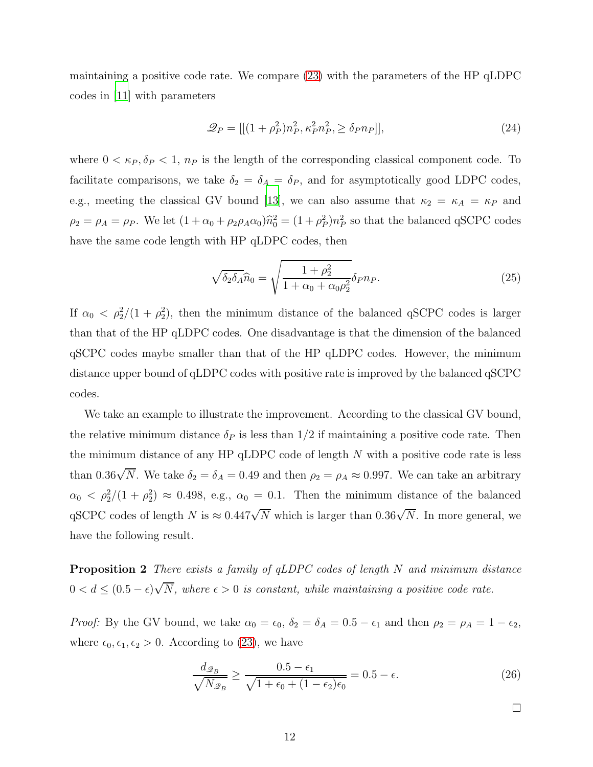maintaining a positive code rate. We compare [\(23\)](#page-10-0) with the parameters of the HP qLDPC codes in [\[11](#page-20-9)] with parameters

$$
\mathcal{Q}_P = [[(1+\rho_P^2)n_P^2, \kappa_P^2 n_P^2, \ge \delta_P n_P]], \tag{24}
$$

where  $0 < \kappa_P, \delta_P < 1$ ,  $n_P$  is the length of the corresponding classical component code. To facilitate comparisons, we take  $\delta_2 = \delta_A = \delta_P$ , and for asymptotically good LDPC codes, e.g., meeting the classical GV bound [\[13\]](#page-20-11), we can also assume that  $\kappa_2 = \kappa_A = \kappa_P$  and  $\rho_2 = \rho_A = \rho_P$ . We let  $(1 + \alpha_0 + \rho_2 \rho_A \alpha_0) \hat{n}_0^2 = (1 + \rho_P^2) n_P^2$  so that the balanced qSCPC codes have the same code length with HP qLDPC codes, then

$$
\sqrt{\delta_2 \delta_A} \widehat{n}_0 = \sqrt{\frac{1 + \rho_2^2}{1 + \alpha_0 + \alpha_0 \rho_2^2}} \delta_P n_P.
$$
\n(25)

If  $\alpha_0 < \rho_2^2/(1+\rho_2^2)$ , then the minimum distance of the balanced qSCPC codes is larger than that of the HP qLDPC codes. One disadvantage is that the dimension of the balanced qSCPC codes maybe smaller than that of the HP qLDPC codes. However, the minimum distance upper bound of qLDPC codes with positive rate is improved by the balanced qSCPC codes.

We take an example to illustrate the improvement. According to the classical GV bound, the relative minimum distance  $\delta_P$  is less than  $1/2$  if maintaining a positive code rate. Then the minimum distance of any  $HP \, qLDPC$  code of length N with a positive code rate is less than 0.36 $\sqrt{N}$ . We take  $\delta_2 = \delta_A = 0.49$  and then  $\rho_2 = \rho_A \approx 0.997$ . We can take an arbitrary  $\alpha_0 < \rho_2^2/(1+\rho_2^2) \approx 0.498$ , e.g.,  $\alpha_0 = 0.1$ . Then the minimum distance of the balanced qSCPC codes of length N is  $\approx 0.447\sqrt{N}$  which is larger than  $0.36\sqrt{N}$ . In more general, we have the following result.

Proposition 2 There exists a family of qLDPC codes of length N and minimum distance  $0 < d \leq (0.5 - \epsilon)\sqrt{N}$ , where  $\epsilon > 0$  is constant, while maintaining a positive code rate.

*Proof:* By the GV bound, we take  $\alpha_0 = \epsilon_0$ ,  $\delta_2 = \delta_A = 0.5 - \epsilon_1$  and then  $\rho_2 = \rho_A = 1 - \epsilon_2$ , where  $\epsilon_0, \epsilon_1, \epsilon_2 > 0$ . According to [\(23\)](#page-10-0), we have

$$
\frac{d_{\mathcal{Q}_B}}{\sqrt{N_{\mathcal{Q}_B}}} \ge \frac{0.5 - \epsilon_1}{\sqrt{1 + \epsilon_0 + (1 - \epsilon_2)\epsilon_0}} = 0.5 - \epsilon.
$$
\n(26)

 $\Box$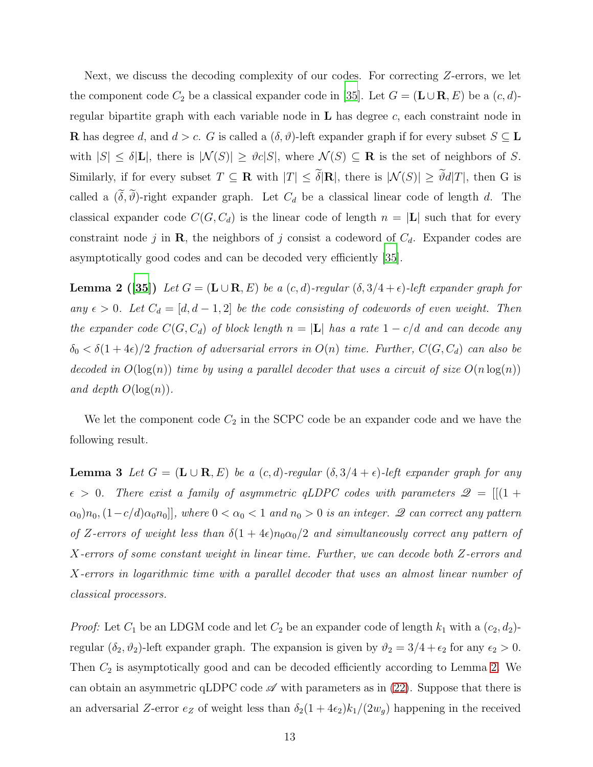Next, we discuss the decoding complexity of our codes. For correcting Z-errors, we let the component code  $C_2$  be a classical expander code in [\[35](#page-21-9)]. Let  $G = (\mathbf{L} \cup \mathbf{R}, E)$  be a  $(c, d)$ regular bipartite graph with each variable node in  $L$  has degree  $c$ , each constraint node in **R** has degree d, and  $d > c$ . G is called a  $(\delta, \vartheta)$ -left expander graph if for every subset  $S \subseteq L$ with  $|S| \leq \delta |L|$ , there is  $|\mathcal{N}(S)| \geq \vartheta c |S|$ , where  $\mathcal{N}(S) \subseteq \mathbf{R}$  is the set of neighbors of S. Similarly, if for every subset  $T \subseteq \mathbf{R}$  with  $|T| \leq \tilde{\delta}|\mathbf{R}|$ , there is  $|\mathcal{N}(S)| \geq \tilde{\vartheta}d|T|$ , then G is called a  $(\tilde{\delta}, \tilde{\vartheta})$ -right expander graph. Let  $C_d$  be a classical linear code of length d. The classical expander code  $C(G, C_d)$  is the linear code of length  $n = |L|$  such that for every constraint node j in **R**, the neighbors of j consist a codeword of  $C_d$ . Expander codes are asymptotically good codes and can be decoded very efficiently [\[35\]](#page-21-9).

<span id="page-12-0"></span>**Lemma 2** ([\[35](#page-21-9)]) Let  $G = (\mathbf{L} \cup \mathbf{R}, E)$  be a  $(c, d)$ -regular  $(\delta, 3/4 + \epsilon)$ -left expander graph for any  $\epsilon > 0$ . Let  $C_d = [d, d-1, 2]$  be the code consisting of codewords of even weight. Then the expander code  $C(G, C_d)$  of block length  $n = |\mathbf{L}|$  has a rate  $1 - c/d$  and can decode any  $\delta_0 < \delta(1+4\epsilon)/2$  fraction of adversarial errors in  $O(n)$  time. Further,  $C(G, C_d)$  can also be decoded in  $O(\log(n))$  time by using a parallel decoder that uses a circuit of size  $O(n \log(n))$ and depth  $O(\log(n))$ .

<span id="page-12-1"></span>We let the component code  $C_2$  in the SCPC code be an expander code and we have the following result.

**Lemma 3** Let  $G = (\mathbf{L} \cup \mathbf{R}, E)$  be a  $(c,d)$ -regular  $(\delta, 3/4 + \epsilon)$ -left expander graph for any  $\epsilon > 0$ . There exist a family of asymmetric qLDPC codes with parameters  $\mathcal{Q} = [[(1 +$  $\alpha_0$  $\alpha_0$ ,  $(1-c/d)\alpha_0 n_0$ ], where  $0 < \alpha_0 < 1$  and  $n_0 > 0$  is an integer.  $\mathscr Q$  can correct any pattern of Z-errors of weight less than  $\delta(1+4\epsilon)n_0\alpha_0/2$  and simultaneously correct any pattern of X-errors of some constant weight in linear time. Further, we can decode both Z-errors and X-errors in logarithmic time with a parallel decoder that uses an almost linear number of classical processors.

*Proof:* Let  $C_1$  be an LDGM code and let  $C_2$  be an expander code of length  $k_1$  with a  $(c_2, d_2)$ regular  $(\delta_2, \vartheta_2)$ -left expander graph. The expansion is given by  $\vartheta_2 = 3/4 + \epsilon_2$  for any  $\epsilon_2 > 0$ . Then  $C_2$  is asymptotically good and can be decoded efficiently according to Lemma [2.](#page-12-0) We can obtain an asymmetric qLDPC code  $\mathscr A$  with parameters as in [\(22\)](#page-10-1). Suppose that there is an adversarial Z-error  $e_Z$  of weight less than  $\delta_2(1+4\epsilon_2)k_1/(2w_g)$  happening in the received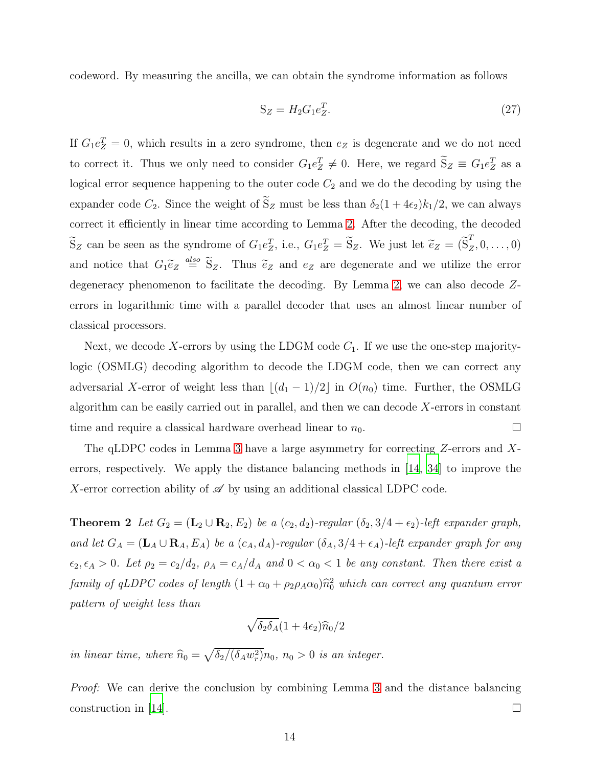codeword. By measuring the ancilla, we can obtain the syndrome information as follows

$$
S_Z = H_2 G_1 e_Z^T. \tag{27}
$$

If  $G_1e_2^T = 0$ , which results in a zero syndrome, then  $e_Z$  is degenerate and we do not need to correct it. Thus we only need to consider  $G_1e_2^T \neq 0$ . Here, we regard  $S_Z \equiv G_1e_2^T$  as a logical error sequence happening to the outer code  $C_2$  and we do the decoding by using the expander code  $C_2$ . Since the weight of  $\tilde{S}_Z$  must be less than  $\delta_2(1+4\epsilon_2)k_1/2$ , we can always correct it efficiently in linear time according to Lemma [2.](#page-12-0) After the decoding, the decoded  $\widetilde{S}_Z$  can be seen as the syndrome of  $G_1e_Z^T$ , i.e.,  $G_1e_Z^T = \widetilde{S}_Z$ . We just let  $\widetilde{e}_Z = (\widetilde{S}_Z^T)$  $Z^2, 0, \ldots, 0)$ and notice that  $G_1 \tilde{e}_Z \stackrel{also}{=} \tilde{S}_Z$ . Thus  $\tilde{e}_Z$  and  $e_Z$  are degenerate and we utilize the error degeneracy phenomenon to facilitate the decoding. By Lemma [2,](#page-12-0) we can also decode Zerrors in logarithmic time with a parallel decoder that uses an almost linear number of classical processors.

Next, we decode X-errors by using the LDGM code  $C_1$ . If we use the one-step majoritylogic (OSMLG) decoding algorithm to decode the LDGM code, then we can correct any adversarial X-error of weight less than  $\lfloor (d_1 - 1)/2 \rfloor$  in  $O(n_0)$  time. Further, the OSMLG algorithm can be easily carried out in parallel, and then we can decode  $X$ -errors in constant time and require a classical hardware overhead linear to  $n_0$ .

The qLDPC codes in Lemma [3](#page-12-1) have a large asymmetry for correcting Z-errors and Xerrors, respectively. We apply the distance balancing methods in [\[14](#page-20-12), [34](#page-21-8)] to improve the X-error correction ability of  $\mathscr A$  by using an additional classical LDPC code.

**Theorem 2** Let  $G_2 = (\mathbf{L}_2 \cup \mathbf{R}_2, E_2)$  be a  $(c_2, d_2)$ -regular  $(\delta_2, 3/4 + \epsilon_2)$ -left expander graph, and let  $G_A = (\mathbf{L}_A \cup \mathbf{R}_A, E_A)$  be a  $(c_A, d_A)$ -regular  $(\delta_A, 3/4 + \epsilon_A)$ -left expander graph for any  $\epsilon_2, \epsilon_A > 0$ . Let  $\rho_2 = c_2/d_2$ ,  $\rho_A = c_A/d_A$  and  $0 < \alpha_0 < 1$  be any constant. Then there exist a family of qLDPC codes of length  $(1 + \alpha_0 + \rho_2 \rho_A \alpha_0) \hat{n}_0^2$  which can correct any quantum error pattern of weight less than

<span id="page-13-0"></span>
$$
\sqrt{\delta_2 \delta_A} (1+4\epsilon_2) \widehat{n}_0/2
$$

in linear time, where  $\hat{n}_0 = \sqrt{\delta_2/(\delta_A w_r^2)} n_0$ ,  $n_0 > 0$  is an integer.

Proof: We can derive the conclusion by combining Lemma [3](#page-12-1) and the distance balancing construction in [\[14\]](#page-20-12).  $\Box$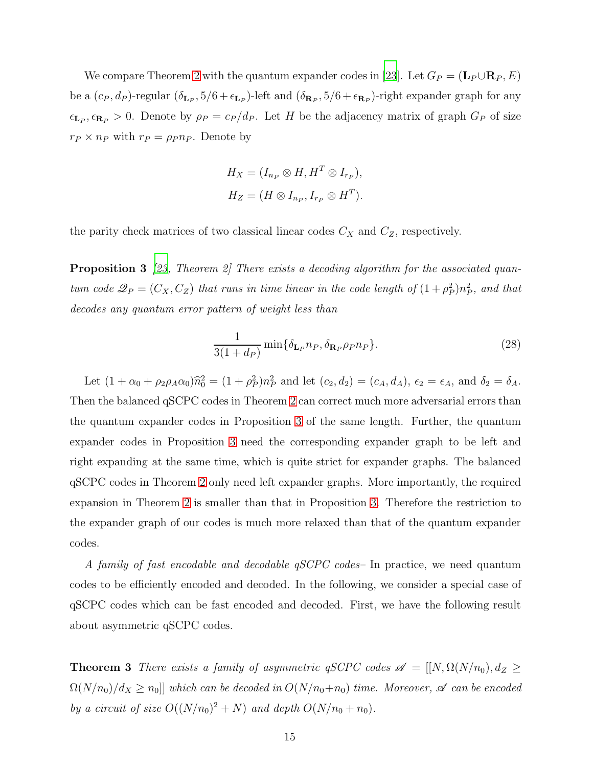We compare Theorem [2](#page-13-0) with the quantum expander codes in [\[23\]](#page-20-21). Let  $G_P = (\mathbf{L}_P \cup \mathbf{R}_P, E)$ be a  $(c_P, d_P)$ -regular  $(\delta_{\mathbf{L}_P}, 5/6 + \epsilon_{\mathbf{L}_P})$ -left and  $(\delta_{\mathbf{R}_P}, 5/6 + \epsilon_{\mathbf{R}_P})$ -right expander graph for any  $\epsilon_{\mathbf{L}_P}, \epsilon_{\mathbf{R}_P} > 0$ . Denote by  $\rho_P = c_P/d_P$ . Let H be the adjacency matrix of graph  $G_P$  of size  $r_P \times n_P$  with  $r_P = \rho_P n_P$ . Denote by

<span id="page-14-0"></span>
$$
H_X = (I_{n_P} \otimes H, H^T \otimes I_{r_P}),
$$
  

$$
H_Z = (H \otimes I_{n_P}, I_{r_P} \otimes H^T).
$$

the parity check matrices of two classical linear codes  $C_X$  and  $C_Z$ , respectively.

**Proposition 3** [\[23,](#page-20-21) Theorem 2] There exists a decoding algorithm for the associated quantum code  $\mathcal{Q}_P = (C_X, C_Z)$  that runs in time linear in the code length of  $(1+\rho_P^2)n_P^2$ , and that decodes any quantum error pattern of weight less than

$$
\frac{1}{3(1+d_P)}\min{\{\delta_{\mathbf{L}_P}n_P,\delta_{\mathbf{R}_P}\rho_Pn_P\}}.
$$
\n(28)

Let  $(1 + \alpha_0 + \rho_2 \rho_A \alpha_0) \hat{n}_0^2 = (1 + \rho_P^2) n_P^2$  and let  $(c_2, d_2) = (c_A, d_A)$ ,  $\epsilon_2 = \epsilon_A$ , and  $\delta_2 = \delta_A$ . Then the balanced qSCPC codes in Theorem [2](#page-13-0) can correct much more adversarial errors than the quantum expander codes in Proposition [3](#page-14-0) of the same length. Further, the quantum expander codes in Proposition [3](#page-14-0) need the corresponding expander graph to be left and right expanding at the same time, which is quite strict for expander graphs. The balanced qSCPC codes in Theorem [2](#page-13-0) only need left expander graphs. More importantly, the required expansion in Theorem [2](#page-13-0) is smaller than that in Proposition [3.](#page-14-0) Therefore the restriction to the expander graph of our codes is much more relaxed than that of the quantum expander codes.

A family of fast encodable and decodable qSCPC codes– In practice, we need quantum codes to be efficiently encoded and decoded. In the following, we consider a special case of qSCPC codes which can be fast encoded and decoded. First, we have the following result about asymmetric qSCPC codes.

<span id="page-14-1"></span>**Theorem 3** There exists a family of asymmetric qSCPC codes  $\mathscr{A} = [[N, \Omega(N/n_0), d_Z \geq$  $\Omega(N/n_0)/d_X \ge n_0$ ] which can be decoded in  $O(N/n_0+n_0)$  time. Moreover,  $\mathscr A$  can be encoded by a circuit of size  $O((N/n_0)^2 + N)$  and depth  $O(N/n_0 + n_0)$ .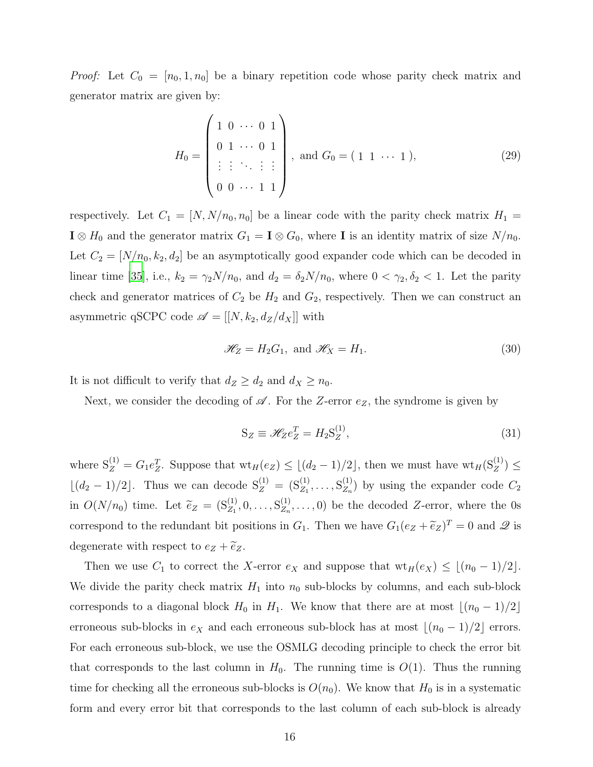*Proof:* Let  $C_0 = [n_0, 1, n_0]$  be a binary repetition code whose parity check matrix and generator matrix are given by:

$$
H_0 = \begin{pmatrix} 1 & 0 & \cdots & 0 & 1 \\ 0 & 1 & \cdots & 0 & 1 \\ \vdots & \vdots & \ddots & \vdots & \vdots \\ 0 & 0 & \cdots & 1 & 1 \end{pmatrix}, \text{ and } G_0 = (1 \ 1 \ \cdots \ 1), \tag{29}
$$

respectively. Let  $C_1 = [N, N/n_0, n_0]$  be a linear code with the parity check matrix  $H_1 =$  $\mathbf{I} \otimes H_0$  and the generator matrix  $G_1 = \mathbf{I} \otimes G_0$ , where  $\mathbf{I}$  is an identity matrix of size  $N/n_0$ . Let  $C_2 = [N/n_0, k_2, d_2]$  be an asymptotically good expander code which can be decoded in linear time [\[35\]](#page-21-9), i.e.,  $k_2 = \gamma_2 N/n_0$ , and  $d_2 = \delta_2 N/n_0$ , where  $0 < \gamma_2, \delta_2 < 1$ . Let the parity check and generator matrices of  $C_2$  be  $H_2$  and  $G_2$ , respectively. Then we can construct an asymmetric qSCPC code  $\mathscr{A} = [[N, k_2, d_Z/d_X]]$  with

$$
\mathcal{H}_Z = H_2 G_1, \text{ and } \mathcal{H}_X = H_1. \tag{30}
$$

It is not difficult to verify that  $d_Z \geq d_2$  and  $d_X \geq n_0$ .

Next, we consider the decoding of  $\mathscr A$ . For the Z-error  $e_Z$ , the syndrome is given by

$$
S_Z \equiv \mathcal{H}_Z e_Z^T = H_2 S_Z^{(1)},\tag{31}
$$

where  $S_Z^{(1)} = G_1 e_Z^T$ . Suppose that  $wt_H(e_Z) \leq \lfloor (d_2-1)/2 \rfloor$ , then we must have  $wt_H(S_Z^{(1)}) \leq$  $\lfloor (d_2 - 1)/2 \rfloor$ . Thus we can decode  $S_Z^{(1)} = (S_{Z_1}^{(1)}, \ldots, S_{Z_n}^{(1)})$  $\binom{1}{Z_n}$  by using the expander code  $C_2$ in  $O(N/n_0)$  time. Let  $\tilde{e}_Z = (S_{Z_1}^{(1)}, 0, \ldots, S_{Z_n}^{(1)})$  $Z_n^{(1)}$ ,...,0) be the decoded Z-error, where the 0s correspond to the redundant bit positions in  $G_1$ . Then we have  $G_1(e_Z + \tilde{e}_Z)^T = 0$  and  $\mathscr Q$  is degenerate with respect to  $e_Z + \widetilde{e}_Z$ .

Then we use  $C_1$  to correct the X-error  $e_X$  and suppose that  $wt_H(e_X) \leq \lfloor (n_0 - 1)/2 \rfloor$ . We divide the parity check matrix  $H_1$  into  $n_0$  sub-blocks by columns, and each sub-block corresponds to a diagonal block  $H_0$  in  $H_1$ . We know that there are at most  $\lfloor (n_0 - 1)/2 \rfloor$ erroneous sub-blocks in  $e_X$  and each erroneous sub-block has at most  $\lfloor (n_0 - 1)/2 \rfloor$  errors. For each erroneous sub-block, we use the OSMLG decoding principle to check the error bit that corresponds to the last column in  $H_0$ . The running time is  $O(1)$ . Thus the running time for checking all the erroneous sub-blocks is  $O(n_0)$ . We know that  $H_0$  is in a systematic form and every error bit that corresponds to the last column of each sub-block is already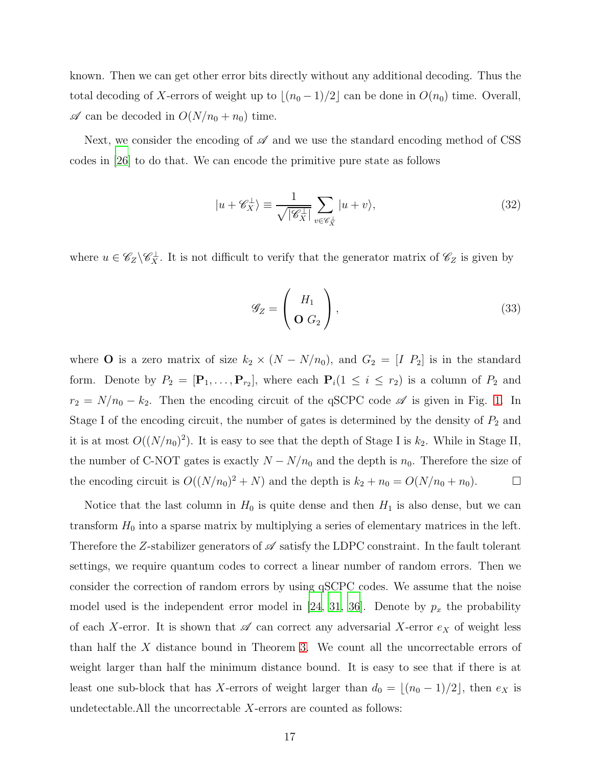known. Then we can get other error bits directly without any additional decoding. Thus the total decoding of X-errors of weight up to  $\lfloor (n_0 - 1)/2 \rfloor$  can be done in  $O(n_0)$  time. Overall,  $\mathscr A$  can be decoded in  $O(N/n_0 + n_0)$  time.

Next, we consider the encoding of  $\mathscr A$  and we use the standard encoding method of CSS codes in [\[26](#page-21-0)] to do that. We can encode the primitive pure state as follows

$$
|u + \mathscr{C}_{X}^{\perp}\rangle \equiv \frac{1}{\sqrt{|\mathscr{C}_{X}^{\perp}|}} \sum_{v \in \mathscr{C}_{X}^{\perp}} |u + v\rangle,
$$
 (32)

where  $u \in \mathscr{C}_Z \backslash \mathscr{C}_X^{\perp}$ . It is not difficult to verify that the generator matrix of  $\mathscr{C}_Z$  is given by

$$
\mathscr{G}_Z = \left(\begin{array}{c} H_1 \\ \mathbf{O} \ G_2 \end{array}\right),\tag{33}
$$

where **O** is a zero matrix of size  $k_2 \times (N - N/n_0)$ , and  $G_2 = [I \ P_2]$  is in the standard form. Denote by  $P_2 = [\mathbf{P}_1, \dots, \mathbf{P}_{r_2}]$ , where each  $\mathbf{P}_i(1 \leq i \leq r_2)$  is a column of  $P_2$  and  $r_2 = N/n_0 - k_2$ . Then the encoding circuit of the qSCPC code  $\mathscr A$  is given in Fig. [1.](#page-18-0) In Stage I of the encoding circuit, the number of gates is determined by the density of  $P_2$  and it is at most  $O((N/n_0)^2)$ . It is easy to see that the depth of Stage I is  $k_2$ . While in Stage II, the number of C-NOT gates is exactly  $N - N/n_0$  and the depth is  $n_0$ . Therefore the size of the encoding circuit is  $O((N/n_0)^2 + N)$  and the depth is  $k_2 + n_0 = O(N/n_0 + n_0)$ .

Notice that the last column in  $H_0$  is quite dense and then  $H_1$  is also dense, but we can transform  $H_0$  into a sparse matrix by multiplying a series of elementary matrices in the left. Therefore the Z-stabilizer generators of  $\mathscr A$  satisfy the LDPC constraint. In the fault tolerant settings, we require quantum codes to correct a linear number of random errors. Then we consider the correction of random errors by using qSCPC codes. We assume that the noise model used is the independent error model in [\[24](#page-20-22), [31,](#page-21-5) [36\]](#page-21-10). Denote by  $p_x$  the probability of each X-error. It is shown that  $\mathscr A$  can correct any adversarial X-error  $e_X$  of weight less than half the X distance bound in Theorem [3.](#page-14-1) We count all the uncorrectable errors of weight larger than half the minimum distance bound. It is easy to see that if there is at least one sub-block that has X-errors of weight larger than  $d_0 = \lfloor (n_0 - 1)/2 \rfloor$ , then  $e_X$  is undetectable.All the uncorrectable X-errors are counted as follows: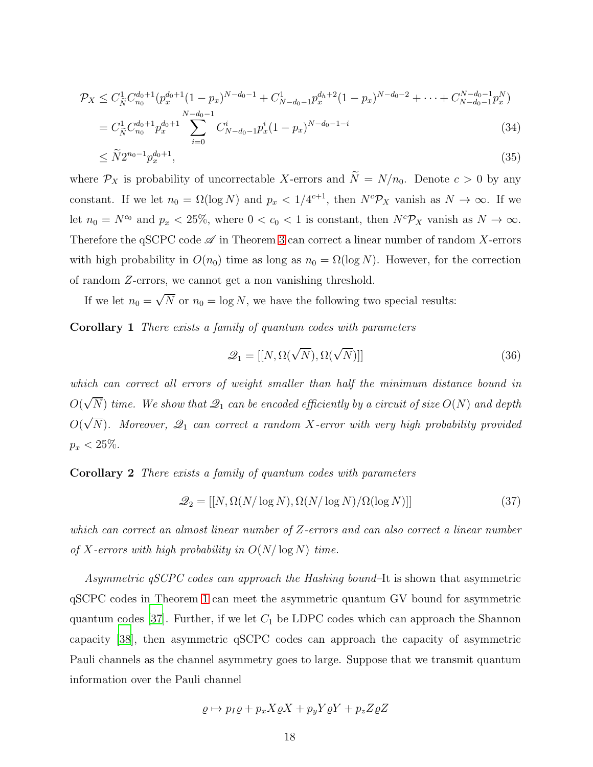$$
\mathcal{P}_X \leq C_{\tilde{N}}^1 C_{n_0}^{d_0+1} (p_x^{d_0+1} (1-p_x)^{N-d_0-1} + C_{N-d_0-1}^1 p_x^{d_h+2} (1-p_x)^{N-d_0-2} + \dots + C_{N-d_0-1}^{N-d_0-1} p_x^N)
$$
  
=  $C_{\tilde{N}}^1 C_{n_0}^{d_0+1} p_x^{d_0+1} \sum_{i=0}^{N-d_0-1} C_{N-d_0-1}^i p_x^i (1-p_x)^{N-d_0-1-i}$  (34)

$$
\leq \tilde{N}2^{n_0-1}p_x^{d_0+1},\tag{35}
$$

where  $\mathcal{P}_X$  is probability of uncorrectable X-errors and  $\widetilde{N} = N/n_0$ . Denote  $c > 0$  by any constant. If we let  $n_0 = \Omega(\log N)$  and  $p_x < 1/4^{c+1}$ , then  $N^c\mathcal{P}_X$  vanish as  $N \to \infty$ . If we let  $n_0 = N^{c_0}$  and  $p_x < 25\%$ , where  $0 < c_0 < 1$  is constant, then  $N^c\mathcal{P}_X$  vanish as  $N \to \infty$ . Therefore the qSCPC code  $\mathscr A$  in Theorem [3](#page-14-1) can correct a linear number of random X-errors with high probability in  $O(n_0)$  time as long as  $n_0 = \Omega(\log N)$ . However, for the correction of random Z-errors, we cannot get a non vanishing threshold.

If we let  $n_0 = \sqrt{N}$  or  $n_0 = \log N$ , we have the following two special results:

Corollary 1 There exists a family of quantum codes with parameters

$$
\mathcal{Q}_1 = [[N, \Omega(\sqrt{N}), \Omega(\sqrt{N})]] \tag{36}
$$

which can correct all errors of weight smaller than half the minimum distance bound in  $O(\sqrt{N})$  time. We show that  $\mathscr{Q}_1$  can be encoded efficiently by a circuit of size  $O(N)$  and depth  $O(\sqrt{N})$ . Moreover,  $\mathscr{Q}_1$  can correct a random X-error with very high probability provided  $p_x < 25\%$ .

Corollary 2 There exists a family of quantum codes with parameters

$$
\mathcal{Q}_2 = [[N, \Omega(N/\log N), \Omega(N/\log N)/\Omega(\log N)]] \tag{37}
$$

which can correct an almost linear number of Z-errors and can also correct a linear number of X-errors with high probability in  $O(N/\log N)$  time.

Asymmetric qSCPC codes can approach the Hashing bound–It is shown that asymmetric qSCPC codes in Theorem [1](#page-5-2) can meet the asymmetric quantum GV bound for asymmetric quantum codes [\[37\]](#page-21-11). Further, if we let  $C_1$  be LDPC codes which can approach the Shannon capacity [\[38](#page-21-12)], then asymmetric qSCPC codes can approach the capacity of asymmetric Pauli channels as the channel asymmetry goes to large. Suppose that we transmit quantum information over the Pauli channel

$$
\varrho \mapsto p_I \varrho + p_x X \varrho X + p_y Y \varrho Y + p_z Z \varrho Z
$$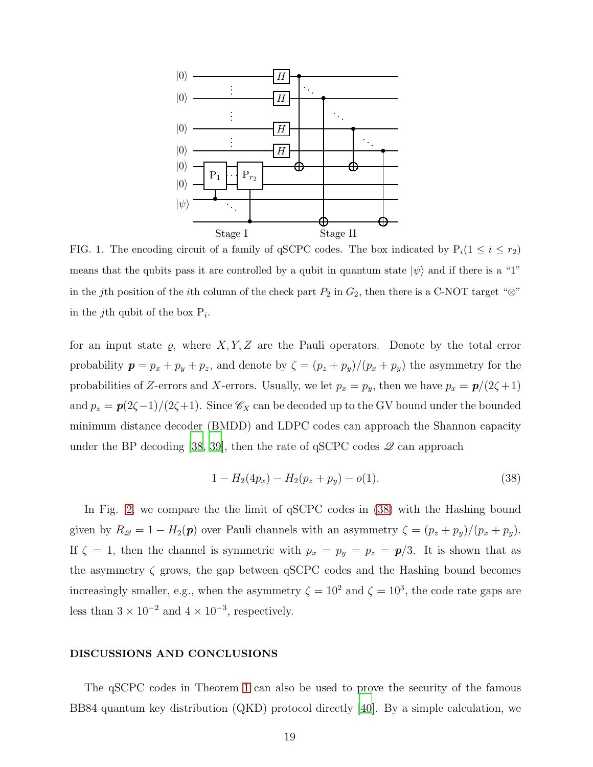

<span id="page-18-0"></span>FIG. 1. The encoding circuit of a family of qSCPC codes. The box indicated by  $P_i(1 \leq i \leq r_2)$ means that the qubits pass it are controlled by a qubit in quantum state  $|\psi\rangle$  and if there is a "1" in the jth position of the ith column of the check part  $P_2$  in  $G_2$ , then there is a C-NOT target " $\otimes$ " in the *j*th qubit of the box  $P_i$ .

for an input state  $\varrho$ , where  $X, Y, Z$  are the Pauli operators. Denote by the total error probability  $p = p_x + p_y + p_z$ , and denote by  $\zeta = (p_z + p_y)/(p_x + p_y)$  the asymmetry for the probabilities of Z-errors and X-errors. Usually, we let  $p_x = p_y$ , then we have  $p_x = p/(2\zeta + 1)$ and  $p_z = p(2\zeta-1)/(2\zeta+1)$ . Since  $\mathscr{C}_X$  can be decoded up to the GV bound under the bounded minimum distance decoder (BMDD) and LDPC codes can approach the Shannon capacity under the BP decoding [\[38,](#page-21-12) [39](#page-21-13)], then the rate of  $qSCPC$  codes  $\mathscr Q$  can approach

<span id="page-18-1"></span>
$$
1 - H_2(4p_x) - H_2(p_z + p_y) - o(1).
$$
\n(38)

In Fig. [2,](#page-19-0) we compare the the limit of qSCPC codes in [\(38\)](#page-18-1) with the Hashing bound given by  $R_{\mathscr{Q}} = 1 - H_2(\boldsymbol{p})$  over Pauli channels with an asymmetry  $\zeta = (p_z + p_y)/(p_x + p_y)$ . If  $\zeta = 1$ , then the channel is symmetric with  $p_x = p_y = p_z = p/3$ . It is shown that as the asymmetry  $\zeta$  grows, the gap between qSCPC codes and the Hashing bound becomes increasingly smaller, e.g., when the asymmetry  $\zeta = 10^2$  and  $\zeta = 10^3$ , the code rate gaps are less than  $3 \times 10^{-2}$  and  $4 \times 10^{-3}$ , respectively.

#### DISCUSSIONS AND CONCLUSIONS

The qSCPC codes in Theorem [1](#page-5-2) can also be used to prove the security of the famous BB84 quantum key distribution (QKD) protocol directly [\[40](#page-21-14)]. By a simple calculation, we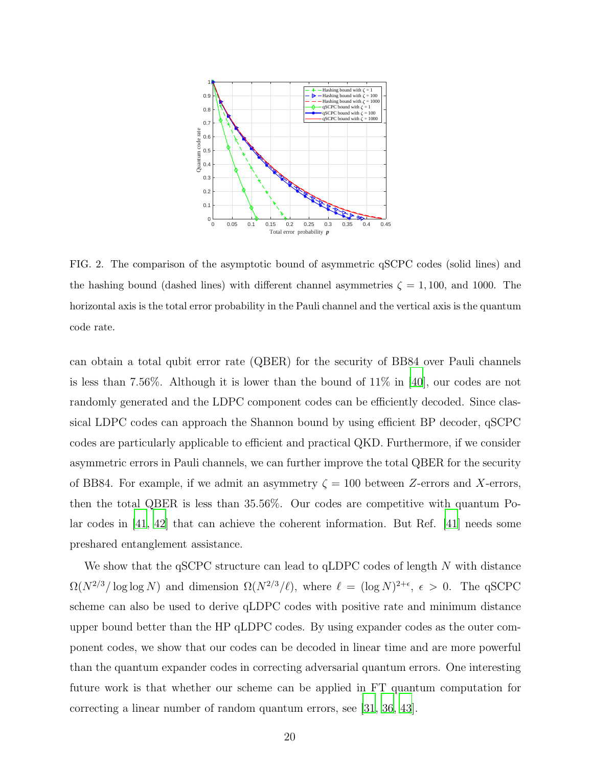

<span id="page-19-0"></span>FIG. 2. The comparison of the asymptotic bound of asymmetric qSCPC codes (solid lines) and the hashing bound (dashed lines) with different channel asymmetries  $\zeta = 1,100$ , and 1000. The horizontal axis is the total error probability in the Pauli channel and the vertical axis is the quantum code rate.

can obtain a total qubit error rate (QBER) for the security of BB84 over Pauli channels is less than 7.56%. Although it is lower than the bound of 11% in [\[40\]](#page-21-14), our codes are not randomly generated and the LDPC component codes can be efficiently decoded. Since classical LDPC codes can approach the Shannon bound by using efficient BP decoder, qSCPC codes are particularly applicable to efficient and practical QKD. Furthermore, if we consider asymmetric errors in Pauli channels, we can further improve the total QBER for the security of BB84. For example, if we admit an asymmetry  $\zeta = 100$  between Z-errors and X-errors, then the total QBER is less than 35.56%. Our codes are competitive with quantum Polar codes in [\[41,](#page-21-15) [42\]](#page-21-16) that can achieve the coherent information. But Ref. [\[41\]](#page-21-15) needs some preshared entanglement assistance.

We show that the  $qSCPC$  structure can lead to  $qLDPC$  codes of length  $N$  with distance  $\Omega(N^{2/3}/\log\log N)$  and dimension  $\Omega(N^{2/3}/\ell)$ , where  $\ell = (\log N)^{2+\epsilon}$ ,  $\epsilon > 0$ . The qSCPC scheme can also be used to derive qLDPC codes with positive rate and minimum distance upper bound better than the HP qLDPC codes. By using expander codes as the outer component codes, we show that our codes can be decoded in linear time and are more powerful than the quantum expander codes in correcting adversarial quantum errors. One interesting future work is that whether our scheme can be applied in FT quantum computation for correcting a linear number of random quantum errors, see [\[31,](#page-21-5) [36](#page-21-10), [43](#page-21-17)].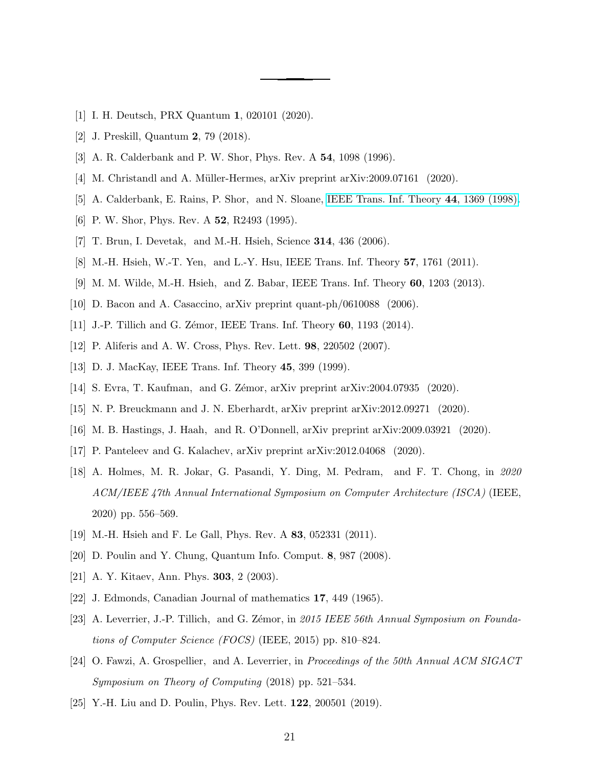- <span id="page-20-1"></span><span id="page-20-0"></span>[1] I. H. Deutsch, PRX Quantum 1, 020101 (2020).
- <span id="page-20-2"></span>[2] J. Preskill, Quantum 2, 79 (2018).
- <span id="page-20-3"></span>[3] A. R. Calderbank and P. W. Shor, Phys. Rev. A 54, 1098 (1996).
- <span id="page-20-4"></span>[4] M. Christandl and A. Müller-Hermes, arXiv preprint arXiv:2009.07161 (2020).
- <span id="page-20-5"></span>[5] A. Calderbank, E. Rains, P. Shor, and N. Sloane, [IEEE Trans. Inf. Theory](http://dx.doi.org/ 10.1109/18.681315) 44, 1369 (1998).
- <span id="page-20-6"></span>[6] P. W. Shor, Phys. Rev. A 52, R2493 (1995).
- [7] T. Brun, I. Devetak, and M.-H. Hsieh, Science 314, 436 (2006).
- <span id="page-20-7"></span>[8] M.-H. Hsieh, W.-T. Yen, and L.-Y. Hsu, IEEE Trans. Inf. Theory 57, 1761 (2011).
- [9] M. M. Wilde, M.-H. Hsieh, and Z. Babar, IEEE Trans. Inf. Theory 60, 1203 (2013).
- <span id="page-20-9"></span><span id="page-20-8"></span>[10] D. Bacon and A. Casaccino, arXiv preprint quant-ph/0610088 (2006).
- <span id="page-20-10"></span>[11] J.-P. Tillich and G. Zémor, IEEE Trans. Inf. Theory 60, 1193 (2014).
- [12] P. Aliferis and A. W. Cross, Phys. Rev. Lett. **98**, 220502 (2007).
- <span id="page-20-11"></span>[13] D. J. MacKay, IEEE Trans. Inf. Theory **45**, 399 (1999).
- <span id="page-20-15"></span><span id="page-20-12"></span>[14] S. Evra, T. Kaufman, and G. Zémor, arXiv preprint arXiv:2004.07935 (2020).
- [15] N. P. Breuckmann and J. N. Eberhardt, arXiv preprint arXiv:2012.09271 (2020).
- <span id="page-20-14"></span>[16] M. B. Hastings, J. Haah, and R. O'Donnell, arXiv preprint arXiv:2009.03921 (2020).
- <span id="page-20-13"></span>[17] P. Panteleev and G. Kalachev, arXiv preprint arXiv:2012.04068 (2020).
- <span id="page-20-16"></span>[18] A. Holmes, M. R. Jokar, G. Pasandi, Y. Ding, M. Pedram, and F. T. Chong, in 2020 ACM/IEEE 47th Annual International Symposium on Computer Architecture (ISCA) (IEEE, 2020) pp. 556–569.
- <span id="page-20-17"></span>[19] M.-H. Hsieh and F. Le Gall, Phys. Rev. A 83, 052331 (2011).
- <span id="page-20-18"></span>[20] D. Poulin and Y. Chung, Quantum Info. Comput. 8, 987 (2008).
- <span id="page-20-19"></span>[21] A. Y. Kitaev, Ann. Phys. **303**, 2 (2003).
- <span id="page-20-20"></span>[22] J. Edmonds, Canadian Journal of mathematics 17, 449 (1965).
- <span id="page-20-21"></span>[23] A. Leverrier, J.-P. Tillich, and G. Zémor, in 2015 IEEE 56th Annual Symposium on Foundations of Computer Science (FOCS) (IEEE, 2015) pp. 810–824.
- <span id="page-20-22"></span>[24] O. Fawzi, A. Grospellier, and A. Leverrier, in Proceedings of the 50th Annual ACM SIGACT Symposium on Theory of Computing (2018) pp. 521–534.
- <span id="page-20-23"></span>[25] Y.-H. Liu and D. Poulin, Phys. Rev. Lett. **122**, 200501 (2019).